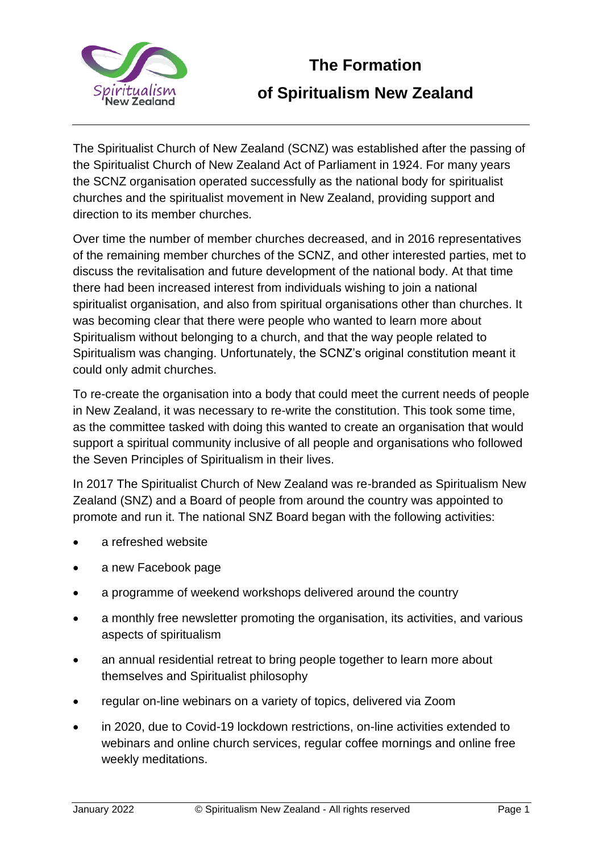

## **The Formation of Spiritualism New Zealand**

The Spiritualist Church of New Zealand (SCNZ) was established after the passing of the Spiritualist Church of New Zealand Act of Parliament in 1924. For many years the SCNZ organisation operated successfully as the national body for spiritualist churches and the spiritualist movement in New Zealand, providing support and direction to its member churches.

Over time the number of member churches decreased, and in 2016 representatives of the remaining member churches of the SCNZ, and other interested parties, met to discuss the revitalisation and future development of the national body. At that time there had been increased interest from individuals wishing to join a national spiritualist organisation, and also from spiritual organisations other than churches. It was becoming clear that there were people who wanted to learn more about Spiritualism without belonging to a church, and that the way people related to Spiritualism was changing. Unfortunately, the SCNZ's original constitution meant it could only admit churches.

To re-create the organisation into a body that could meet the current needs of people in New Zealand, it was necessary to re-write the constitution. This took some time, as the committee tasked with doing this wanted to create an organisation that would support a spiritual community inclusive of all people and organisations who followed the Seven Principles of Spiritualism in their lives.

In 2017 The Spiritualist Church of New Zealand was re-branded as Spiritualism New Zealand (SNZ) and a Board of people from around the country was appointed to promote and run it. The national SNZ Board began with the following activities:

- a refreshed website
- a new Facebook page
- a programme of weekend workshops delivered around the country
- a monthly free newsletter promoting the organisation, its activities, and various aspects of spiritualism
- an annual residential retreat to bring people together to learn more about themselves and Spiritualist philosophy
- regular on-line webinars on a variety of topics, delivered via Zoom
- in 2020, due to Covid-19 lockdown restrictions, on-line activities extended to webinars and online church services, regular coffee mornings and online free weekly meditations.